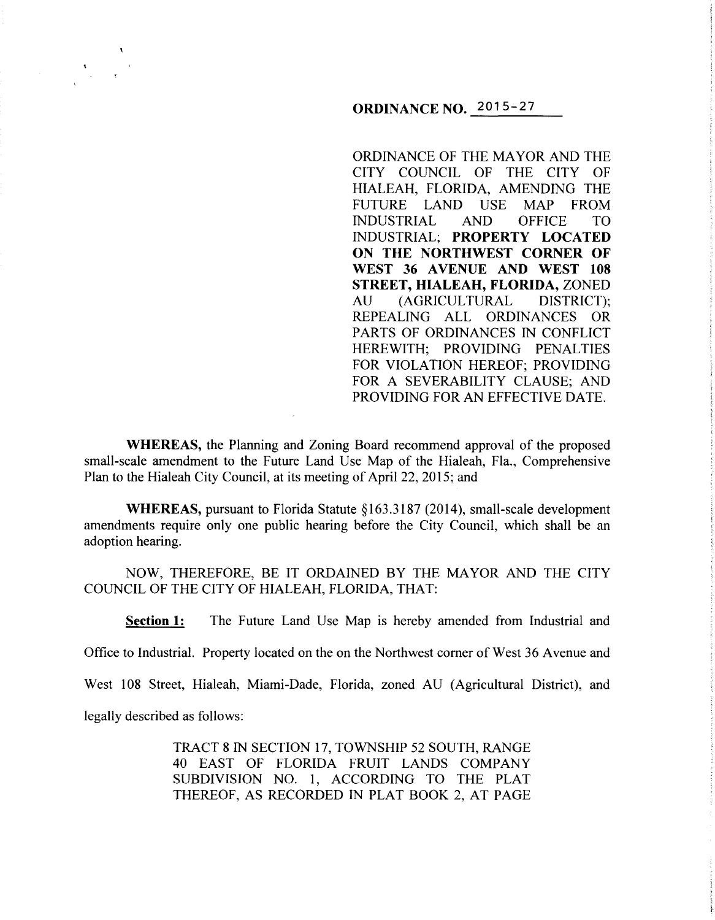# **ORDINANCE NO.** 2015-27

ORDINANCE OF THE MAYOR AND THE CITY COUNCIL OF THE CITY OF HIALEAH, FLORIDA, AMENDING THE FUTURE LAND USE MAP FROM INDUSTRIAL AND OFFICE TO INDUSTRIAL; **PROPERTY LOCATED ON THE NORTHWEST CORNER OF**  WEST 36 AVENUE AND WEST 108 **STREET, HIALEAH, FLORIDA, ZONED** AU (AGRICULTURAL DISTRICT); REPEALING ALL ORDINANCES OR PARTS OF ORDINANCES IN CONFLICT HEREWITH; PROVIDING PENALTIES FOR VIOLATION HEREOF; PROVIDING FOR A SEVERABILITY CLAUSE; AND PROVIDING FOR AN EFFECTIVE DATE.

**WHEREAS,** the Planning and Zoning Board recommend approval of the proposed small-scale amendment to the Future Land Use Map of the Hialeah, Fla., Comprehensive Plan to the Hialeah City Council, at its meeting of April 22, 2015; and

**WHEREAS,** pursuant to Florida Statute §163.3187 (2014), small-scale development amendments require only one public hearing before the City Council, which shall be an adoption hearing.

NOW, THEREFORE, BE IT ORDAINED BY THE MAYOR AND THE CITY COUNCIL OF THE CITY OF HIALEAH, FLORIDA, THAT:

**Section 1:** The Future Land Use Map is hereby amended from Industrial and

Office to Industrial. Property located on the on the Northwest comer of West 36 Avenue and

West 108 Street, Hialeah, Miami-Dade, Florida, zoned AU (Agricultural District), and

legally described as follows:

TRACT 8 IN SECTION 17, TOWNSHIP 52 SOUTH, RANGE 40 EAST OF FLORIDA FRUIT LANDS COMPANY SUBDIVISION NO. 1, ACCORDING TO THE PLAT THEREOF, AS RECORDED IN PLAT BOOK 2, AT PAGE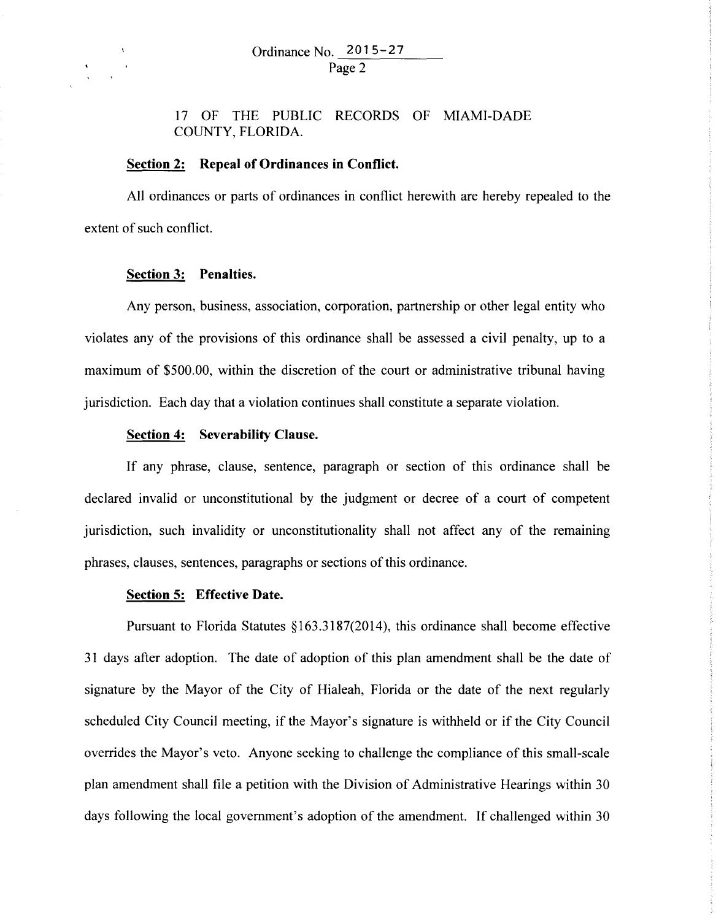17 OF THE PUBLIC RECORDS OF MIAMI-DADE COUNTY, FLORIDA.

## **Section 2: Repeal of Ordinances in Conflict.**

All ordinances or parts of ordinances in conflict herewith are hereby repealed to the extent of such conflict.

#### **Section 3: Penalties.**

Any person, business, association, corporation, partnership or other legal entity who violates any of the provisions of this ordinance shall be assessed a civil penalty, up to a maximum of \$500.00, within the discretion of the court or administrative tribunal having jurisdiction. Each day that a violation continues shall constitute a separate violation.

### **Section 4: Severability Clause.**

If any phrase, clause, sentence, paragraph or section of this ordinance shall be declared invalid or unconstitutional by the judgment or decree of a court of competent jurisdiction, such invalidity or unconstitutionality shall not affect any of the remaining phrases, clauses, sentences, paragraphs or sections of this ordinance.

### **Section 5: Effective Date.**

Pursuant to Florida Statutes §163.3187(2014), this ordinance shall become effective 31 days after adoption. The date of adoption of this plan amendment shall be the date of signature by the Mayor of the City of Hialeah, Florida or the date of the next regularly scheduled City Council meeting, if the Mayor's signature is withheld or if the City Council overrides the Mayor's veto. Anyone seeking to challenge the compliance of this small-scale plan amendment shall file a petition with the Division of Administrative Hearings within 30 days following the local government's adoption of the amendment. If challenged within 30